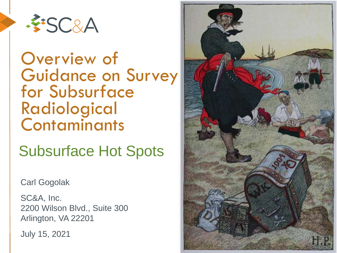

#### Overview of **Guidance on Survey** for Subsurface Radiological **Contaminants**

#### Subsurface Hot Spots

Carl Gogolak

SC&A, Inc. 2200 Wilson Blvd., Suite 300 Arlington, VA 22201

July 15, 2021

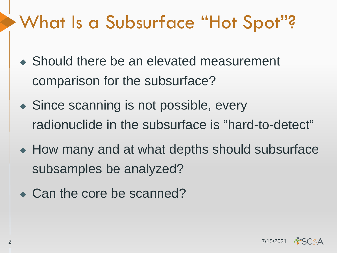## What Is a Subsurface "Hot Spot"?

- ◆ Should there be an elevated measurement comparison for the subsurface?
- ◆ Since scanning is not possible, every radionuclide in the subsurface is "hard-to-detect"
- ◆ How many and at what depths should subsurface subsamples be analyzed?
- Can the core be scanned?

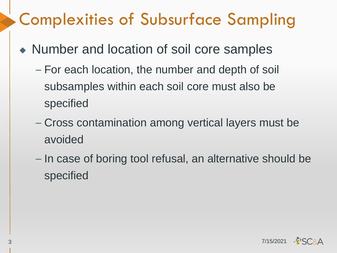## Complexities of Subsurface Sampling

- ◆ Number and location of soil core samples
	- For each location, the number and depth of soil subsamples within each soil core must also be specified
	- Cross contamination among vertical layers must be avoided
	- In case of boring tool refusal, an alternative should be specified

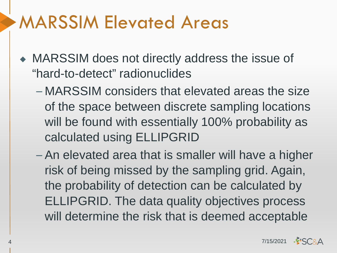## MARSSIM Elevated Areas

- ◆ MARSSIM does not directly address the issue of "hard-to-detect" radionuclides
	- MARSSIM considers that elevated areas the size of the space between discrete sampling locations will be found with essentially 100% probability as calculated using ELLIPGRID
	- An elevated area that is smaller will have a higher risk of being missed by the sampling grid. Again, the probability of detection can be calculated by ELLIPGRID. The data quality objectives process will determine the risk that is deemed acceptable

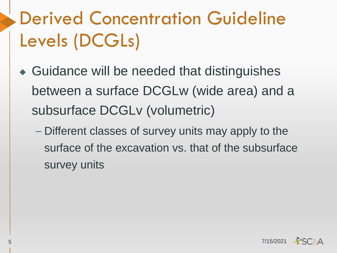# Derived Concentration Guideline Levels (DCGLs)

- ◆ Guidance will be needed that distinguishes between a surface DCGLw (wide area) and a subsurface DCGLv (volumetric)
	- Different classes of survey units may apply to the surface of the excavation vs. that of the subsurface survey units

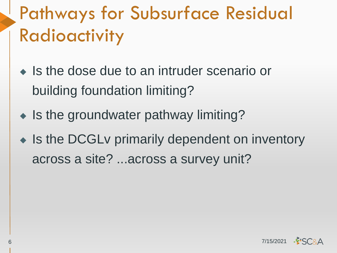# Pathways for Subsurface Residual Radioactivity

- ◆ Is the dose due to an intruder scenario or building foundation limiting?
- ◆ Is the groundwater pathway limiting?
- ◆ Is the DCGLv primarily dependent on inventory across a site? ...across a survey unit?

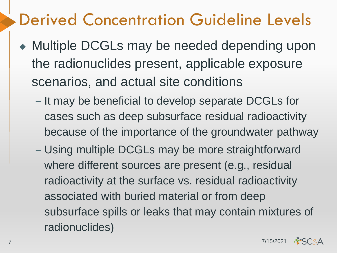### Derived Concentration Guideline Levels

- ◆ Multiple DCGLs may be needed depending upon the radionuclides present, applicable exposure scenarios, and actual site conditions
	- It may be beneficial to develop separate DCGLs for cases such as deep subsurface residual radioactivity because of the importance of the groundwater pathway
	- Using multiple DCGLs may be more straightforward where different sources are present (e.g., residual radioactivity at the surface vs. residual radioactivity associated with buried material or from deep subsurface spills or leaks that may contain mixtures of radionuclides)

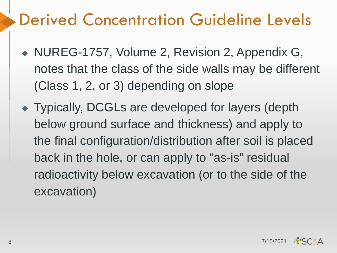## Derived Concentration Guideline Levels

- ◆ NUREG-1757, Volume 2, Revision 2, Appendix G, notes that the class of the side walls may be different (Class 1, 2, or 3) depending on slope
- ◆ Typically, DCGLs are developed for layers (depth below ground surface and thickness) and apply to the final configuration/distribution after soil is placed back in the hole, or can apply to "as-is" residual radioactivity below excavation (or to the side of the excavation)

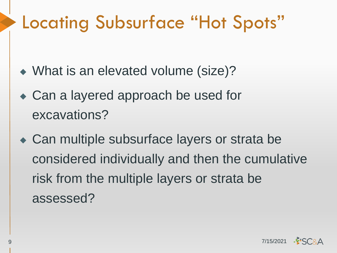## Locating Subsurface "Hot Spots"

- ◆ What is an elevated volume (size)?
- ◆ Can a layered approach be used for excavations?
- ◆ Can multiple subsurface layers or strata be considered individually and then the cumulative risk from the multiple layers or strata be assessed?

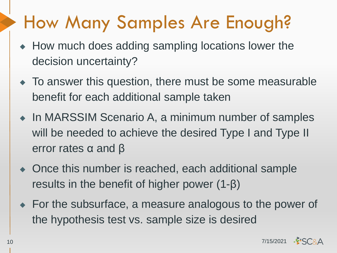## How Many Samples Are Enough?

- ◆ How much does adding sampling locations lower the decision uncertainty?
- ◆ To answer this question, there must be some measurable benefit for each additional sample taken
- ◆ In MARSSIM Scenario A, a minimum number of samples will be needed to achieve the desired Type I and Type II error rates α and β
- ◆ Once this number is reached, each additional sample results in the benefit of higher power (1-β)
- ◆ For the subsurface, a measure analogous to the power of the hypothesis test vs. sample size is desired

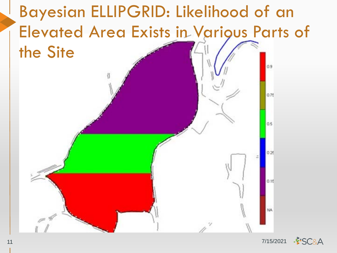

**FSC&A** 11 7/15/2021

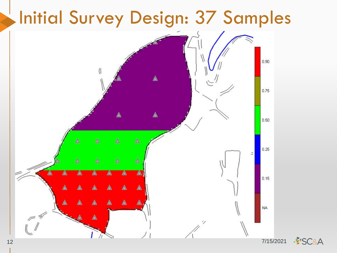

**FSC&A** 12 7/15/2021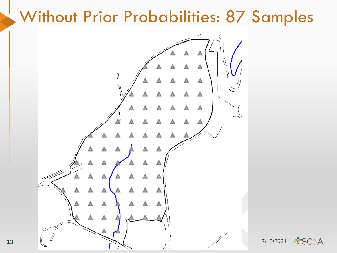#### Without Prior Probabilities: 87 Samples



**FISC&A**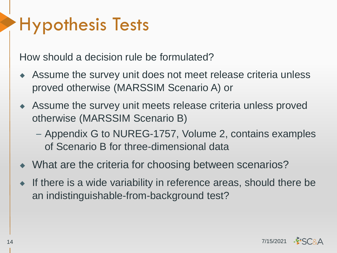## Hypothesis Tests

How should a decision rule be formulated?

- ◆ Assume the survey unit does not meet release criteria unless proved otherwise (MARSSIM Scenario A) or
- ◆ Assume the survey unit meets release criteria unless proved otherwise (MARSSIM Scenario B)
	- Appendix G to NUREG-1757, Volume 2, contains examples of Scenario B for three-dimensional data
- ◆ What are the criteria for choosing between scenarios?
- ◆ If there is a wide variability in reference areas, should there be an indistinguishable-from-background test?

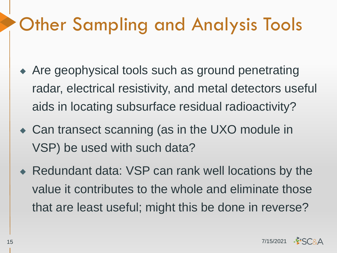## Other Sampling and Analysis Tools

- ◆ Are geophysical tools such as ground penetrating radar, electrical resistivity, and metal detectors useful aids in locating subsurface residual radioactivity?
- ◆ Can transect scanning (as in the UXO module in VSP) be used with such data?
- ◆ Redundant data: VSP can rank well locations by the value it contributes to the whole and eliminate those that are least useful; might this be done in reverse?

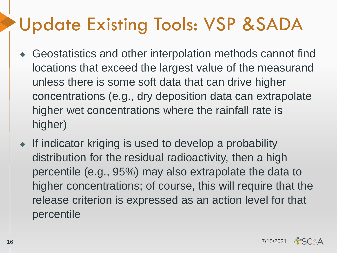## Update Existing Tools: VSP &SADA

- Geostatistics and other interpolation methods cannot find locations that exceed the largest value of the measurand unless there is some soft data that can drive higher concentrations (e.g., dry deposition data can extrapolate higher wet concentrations where the rainfall rate is higher)
- ◆ If indicator kriging is used to develop a probability distribution for the residual radioactivity, then a high percentile (e.g., 95%) may also extrapolate the data to higher concentrations; of course, this will require that the release criterion is expressed as an action level for that percentile